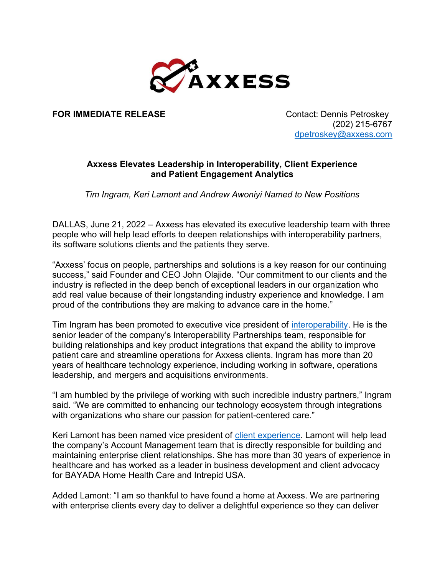

FOR IMMEDIATE RELEASE Contact: Dennis Petroskey

 (202) 215-6767 dpetroskey@axxess.com

## Axxess Elevates Leadership in Interoperability, Client Experience and Patient Engagement Analytics

Tim Ingram, Keri Lamont and Andrew Awoniyi Named to New Positions

DALLAS, June 21, 2022 – Axxess has elevated its executive leadership team with three people who will help lead efforts to deepen relationships with interoperability partners, its software solutions clients and the patients they serve.

"Axxess' focus on people, partnerships and solutions is a key reason for our continuing success," said Founder and CEO John Olajide. "Our commitment to our clients and the industry is reflected in the deep bench of exceptional leaders in our organization who add real value because of their longstanding industry experience and knowledge. I am proud of the contributions they are making to advance care in the home."

Tim Ingram has been promoted to executive vice president of interoperability. He is the senior leader of the company's Interoperability Partnerships team, responsible for building relationships and key product integrations that expand the ability to improve patient care and streamline operations for Axxess clients. Ingram has more than 20 years of healthcare technology experience, including working in software, operations leadership, and mergers and acquisitions environments.

"I am humbled by the privilege of working with such incredible industry partners," Ingram said. "We are committed to enhancing our technology ecosystem through integrations with organizations who share our passion for patient-centered care."

Keri Lamont has been named vice president of client experience. Lamont will help lead the company's Account Management team that is directly responsible for building and maintaining enterprise client relationships. She has more than 30 years of experience in healthcare and has worked as a leader in business development and client advocacy for BAYADA Home Health Care and Intrepid USA.

Added Lamont: "I am so thankful to have found a home at Axxess. We are partnering with enterprise clients every day to deliver a delightful experience so they can deliver